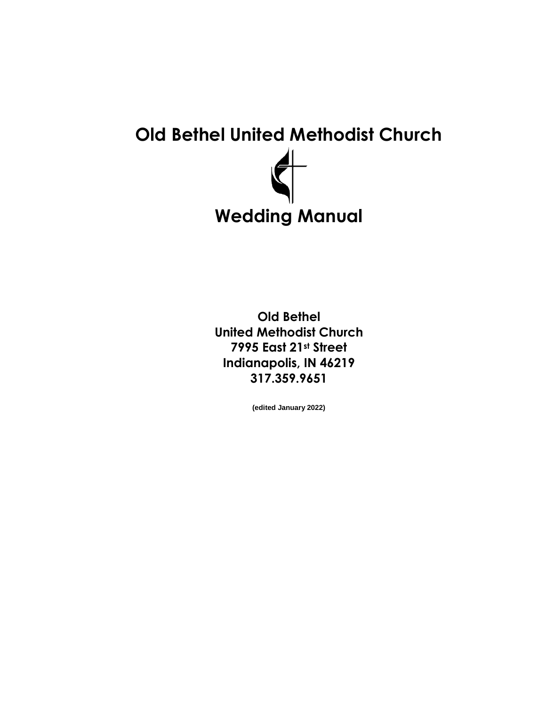# **Old Bethel United Methodist Church** ◢ **Wedding Manual**

**Old Bethel United Methodist Church 7995 East 21st Street Indianapolis, IN 46219 317.359.9651**

**(edited January 2022)**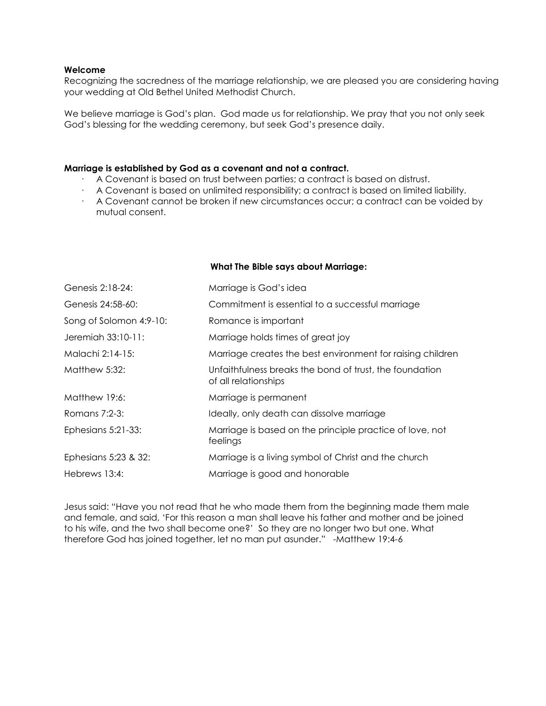#### **Welcome**

Recognizing the sacredness of the marriage relationship, we are pleased you are considering having your wedding at Old Bethel United Methodist Church.

We believe marriage is God's plan. God made us for relationship. We pray that you not only seek God's blessing for the wedding ceremony, but seek God's presence daily.

#### **Marriage is established by God as a covenant and not a contract.**

- · A Covenant is based on trust between parties; a contract is based on distrust.
- · A Covenant is based on unlimited responsibility; a contract is based on limited liability.
- · A Covenant cannot be broken if new circumstances occur; a contract can be voided by mutual consent.

#### **What The Bible says about Marriage:**

| Genesis 2:18-24:        | Marriage is God's idea                                                          |
|-------------------------|---------------------------------------------------------------------------------|
| Genesis 24:58-60:       | Commitment is essential to a successful marriage                                |
| Song of Solomon 4:9-10: | Romance is important                                                            |
| Jeremiah 33:10-11:      | Marriage holds times of great joy                                               |
| Malachi 2:14-15:        | Marriage creates the best environment for raising children                      |
| Matthew 5:32:           | Unfaithfulness breaks the bond of trust, the foundation<br>of all relationships |
| Matthew 19:6:           | Marriage is permanent                                                           |
| Romans 7:2-3:           | Ideally, only death can dissolve marriage                                       |
| Ephesians 5:21-33:      | Marriage is based on the principle practice of love, not<br>feelings            |
| Ephesians 5:23 & 32:    | Marriage is a living symbol of Christ and the church                            |
| Hebrews 13:4:           | Marriage is good and honorable                                                  |

Jesus said: "Have you not read that he who made them from the beginning made them male and female, and said, 'For this reason a man shall leave his father and mother and be joined to his wife, and the two shall become one?' So they are no longer two but one. What therefore God has joined together, let no man put asunder." -Matthew 19:4-6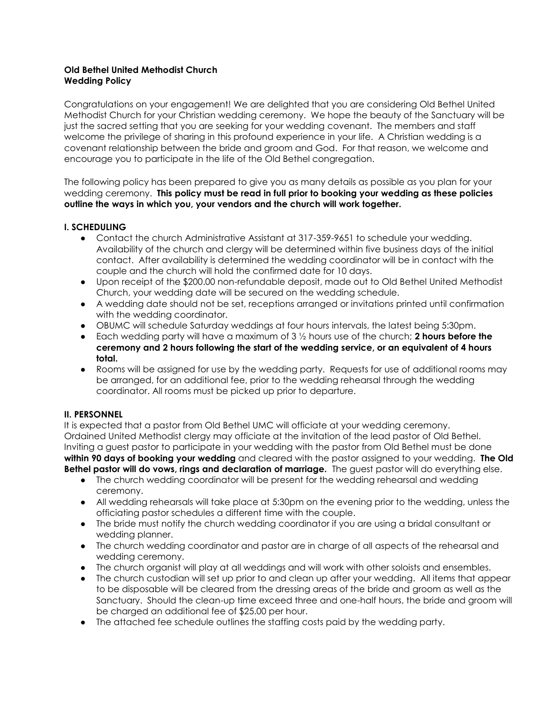#### **Old Bethel United Methodist Church Wedding Policy**

Congratulations on your engagement! We are delighted that you are considering Old Bethel United Methodist Church for your Christian wedding ceremony. We hope the beauty of the Sanctuary will be just the sacred setting that you are seeking for your wedding covenant. The members and staff welcome the privilege of sharing in this profound experience in your life. A Christian wedding is a covenant relationship between the bride and groom and God. For that reason, we welcome and encourage you to participate in the life of the Old Bethel congregation.

The following policy has been prepared to give you as many details as possible as you plan for your wedding ceremony. **This policy must be read in full prior to booking your wedding as these policies outline the ways in which you, your vendors and the church will work together.**

#### **I. SCHEDULING**

- Contact the church Administrative Assistant at 317-359-9651 to schedule your wedding. Availability of the church and clergy will be determined within five business days of the initial contact. After availability is determined the wedding coordinator will be in contact with the couple and the church will hold the confirmed date for 10 days.
- Upon receipt of the \$200.00 non-refundable deposit, made out to Old Bethel United Methodist Church, your wedding date will be secured on the wedding schedule.
- A wedding date should not be set, receptions arranged or invitations printed until confirmation with the wedding coordinator.
- OBUMC will schedule Saturday weddings at four hours intervals, the latest being 5:30pm.
- Each wedding party will have a maximum of 3 ½ hours use of the church; **2 hours before the ceremony and 2 hours following the start of the wedding service, or an equivalent of 4 hours total.**
- Rooms will be assigned for use by the wedding party. Requests for use of additional rooms may be arranged, for an additional fee, prior to the wedding rehearsal through the wedding coordinator. All rooms must be picked up prior to departure.

#### **II. PERSONNEL**

It is expected that a pastor from Old Bethel UMC will officiate at your wedding ceremony. Ordained United Methodist clergy may officiate at the invitation of the lead pastor of Old Bethel. Inviting a guest pastor to participate in your wedding with the pastor from Old Bethel must be done **within 90 days of booking your wedding** and cleared with the pastor assigned to your wedding. **The Old Bethel pastor will do vows, rings and declaration of marriage.** The guest pastor will do everything else.

- The church wedding coordinator will be present for the wedding rehearsal and wedding ceremony.
- All wedding rehearsals will take place at 5:30pm on the evening prior to the wedding, unless the officiating pastor schedules a different time with the couple.
- The bride must notify the church wedding coordinator if you are using a bridal consultant or wedding planner.
- The church wedding coordinator and pastor are in charge of all aspects of the rehearsal and wedding ceremony.
- The church organist will play at all weddings and will work with other soloists and ensembles.
- The church custodian will set up prior to and clean up after your wedding. All items that appear to be disposable will be cleared from the dressing areas of the bride and groom as well as the Sanctuary. Should the clean-up time exceed three and one-half hours, the bride and groom will be charged an additional fee of \$25.00 per hour.
- The attached fee schedule outlines the staffing costs paid by the wedding party.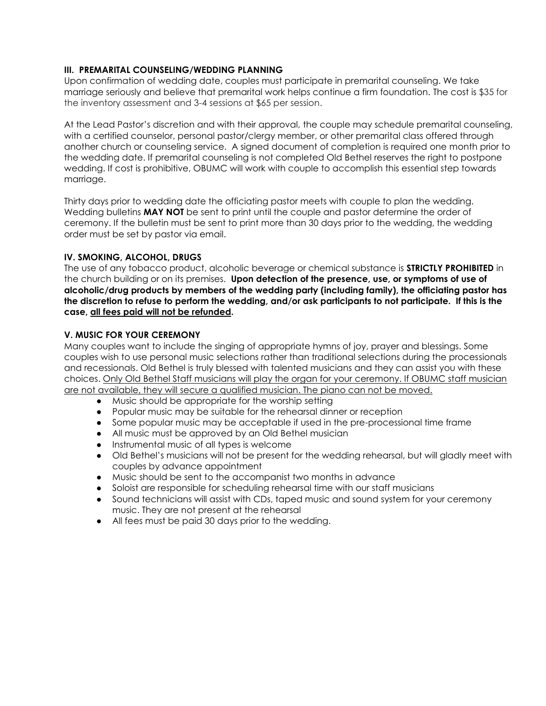#### **III. PREMARITAL COUNSELING/WEDDING PLANNING**

Upon confirmation of wedding date, couples must participate in premarital counseling. We take marriage seriously and believe that premarital work helps continue a firm foundation. The cost is \$35 for the inventory assessment and 3-4 sessions at \$65 per session.

At the Lead Pastor's discretion and with their approval, the couple may schedule premarital counseling, with a certified counselor, personal pastor/clergy member, or other premarital class offered through another church or counseling service. A signed document of completion is required one month prior to the wedding date. If premarital counseling is not completed Old Bethel reserves the right to postpone wedding. If cost is prohibitive, OBUMC will work with couple to accomplish this essential step towards marriage.

Thirty days prior to wedding date the officiating pastor meets with couple to plan the wedding. Wedding bulletins **MAY NOT** be sent to print until the couple and pastor determine the order of ceremony. If the bulletin must be sent to print more than 30 days prior to the wedding, the wedding order must be set by pastor via email.

#### **IV. SMOKING, ALCOHOL, DRUGS**

The use of any tobacco product, alcoholic beverage or chemical substance is **STRICTLY PROHIBITED** in the church building or on its premises. **Upon detection of the presence, use, or symptoms of use of alcoholic/drug products by members of the wedding party (including family), the officiating pastor has the discretion to refuse to perform the wedding, and/or ask participants to not participate. If this is the case, all fees paid will not be refunded.** 

#### **V. MUSIC FOR YOUR CEREMONY**

Many couples want to include the singing of appropriate hymns of joy, prayer and blessings. Some couples wish to use personal music selections rather than traditional selections during the processionals and recessionals. Old Bethel is truly blessed with talented musicians and they can assist you with these choices. Only Old Bethel Staff musicians will play the organ for your ceremony. If OBUMC staff musician are not available, they will secure a qualified musician. The piano can not be moved.

- Music should be appropriate for the worship setting
- Popular music may be suitable for the rehearsal dinner or reception
- Some popular music may be acceptable if used in the pre-processional time frame
- All music must be approved by an Old Bethel musician
- Instrumental music of all types is welcome
- Old Bethel's musicians will not be present for the wedding rehearsal, but will gladly meet with couples by advance appointment
- Music should be sent to the accompanist two months in advance
- Soloist are responsible for scheduling rehearsal time with our staff musicians
- Sound technicians will assist with CDs, taped music and sound system for your ceremony music. They are not present at the rehearsal
- All fees must be paid 30 days prior to the wedding.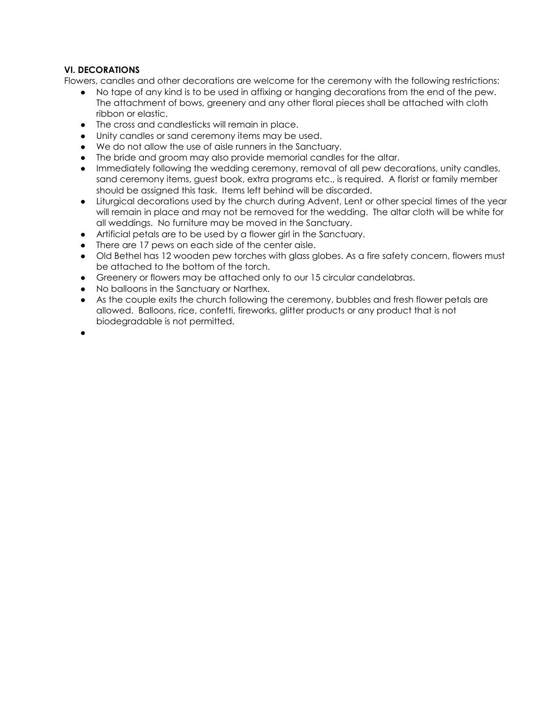#### **VI. DECORATIONS**

Flowers, candles and other decorations are welcome for the ceremony with the following restrictions:

- No tape of any kind is to be used in affixing or hanging decorations from the end of the pew. The attachment of bows, greenery and any other floral pieces shall be attached with cloth ribbon or elastic.
- The cross and candlesticks will remain in place.
- Unity candles or sand ceremony items may be used.
- We do not allow the use of aisle runners in the Sanctuary.
- The bride and groom may also provide memorial candles for the altar.
- Immediately following the wedding ceremony, removal of all pew decorations, unity candles, sand ceremony items, guest book, extra programs etc., is required. A florist or family member should be assigned this task. Items left behind will be discarded.
- Liturgical decorations used by the church during Advent, Lent or other special times of the year will remain in place and may not be removed for the wedding. The altar cloth will be white for all weddings. No furniture may be moved in the Sanctuary.
- Artificial petals are to be used by a flower girl in the Sanctuary.
- There are 17 pews on each side of the center aisle.
- Old Bethel has 12 wooden pew torches with glass globes. As a fire safety concern, flowers must be attached to the bottom of the torch.
- Greenery or flowers may be attached only to our 15 circular candelabras.
- No balloons in the Sanctuary or Narthex.
- As the couple exits the church following the ceremony, bubbles and fresh flower petals are allowed. Balloons, rice, confetti, fireworks, glitter products or any product that is not biodegradable is not permitted.
- ●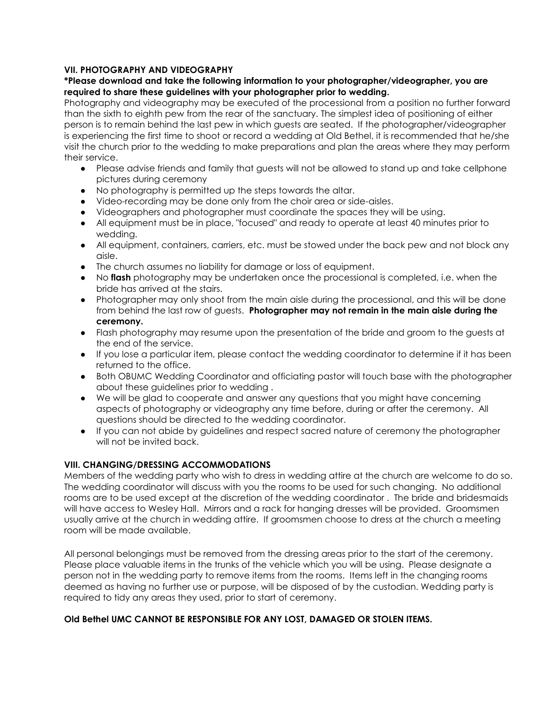#### **VII. PHOTOGRAPHY AND VIDEOGRAPHY**

#### **\*Please download and take the following information to your photographer/videographer, you are required to share these guidelines with your photographer prior to wedding.**

Photography and videography may be executed of the processional from a position no further forward than the sixth to eighth pew from the rear of the sanctuary. The simplest idea of positioning of either person is to remain behind the last pew in which guests are seated. If the photographer/videographer is experiencing the first time to shoot or record a wedding at Old Bethel, it is recommended that he/she visit the church prior to the wedding to make preparations and plan the areas where they may perform their service.

- Please advise friends and family that guests will not be allowed to stand up and take cellphone pictures during ceremony
- No photography is permitted up the steps towards the altar.
- Video-recording may be done only from the choir area or side-aisles.
- Videographers and photographer must coordinate the spaces they will be using.
- All equipment must be in place, "focused" and ready to operate at least 40 minutes prior to wedding.
- All equipment, containers, carriers, etc. must be stowed under the back pew and not block any aisle.
- The church assumes no liability for damage or loss of equipment.
- No **flash** photography may be undertaken once the processional is completed, i.e. when the bride has arrived at the stairs.
- Photographer may only shoot from the main aisle during the processional, and this will be done from behind the last row of guests. **Photographer may not remain in the main aisle during the ceremony.**
- Flash photography may resume upon the presentation of the bride and groom to the guests at the end of the service.
- If you lose a particular item, please contact the wedding coordinator to determine if it has been returned to the office.
- Both OBUMC Wedding Coordinator and officiating pastor will touch base with the photographer about these guidelines prior to wedding .
- We will be glad to cooperate and answer any questions that you might have concerning aspects of photography or videography any time before, during or after the ceremony. All questions should be directed to the wedding coordinator.
- If you can not abide by guidelines and respect sacred nature of ceremony the photographer will not be invited back.

#### **VIII. CHANGING/DRESSING ACCOMMODATIONS**

Members of the wedding party who wish to dress in wedding attire at the church are welcome to do so. The wedding coordinator will discuss with you the rooms to be used for such changing. No additional rooms are to be used except at the discretion of the wedding coordinator . The bride and bridesmaids will have access to Wesley Hall. Mirrors and a rack for hanging dresses will be provided. Groomsmen usually arrive at the church in wedding attire. If groomsmen choose to dress at the church a meeting room will be made available.

All personal belongings must be removed from the dressing areas prior to the start of the ceremony. Please place valuable items in the trunks of the vehicle which you will be using. Please designate a person not in the wedding party to remove items from the rooms. Items left in the changing rooms deemed as having no further use or purpose, will be disposed of by the custodian. Wedding party is required to tidy any areas they used, prior to start of ceremony.

#### **Old Bethel UMC CANNOT BE RESPONSIBLE FOR ANY LOST, DAMAGED OR STOLEN ITEMS.**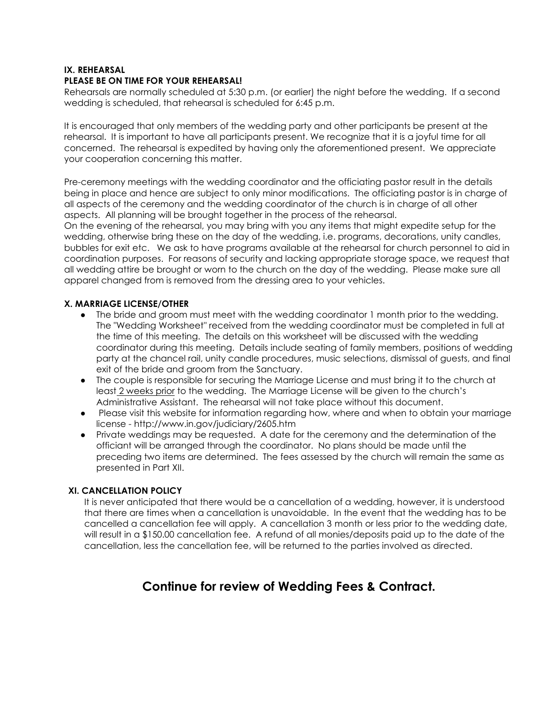#### **IX. REHEARSAL**

#### **PLEASE BE ON TIME FOR YOUR REHEARSAL!**

Rehearsals are normally scheduled at 5:30 p.m. (or earlier) the night before the wedding. If a second wedding is scheduled, that rehearsal is scheduled for 6:45 p.m.

It is encouraged that only members of the wedding party and other participants be present at the rehearsal. It is important to have all participants present. We recognize that it is a joyful time for all concerned. The rehearsal is expedited by having only the aforementioned present. We appreciate your cooperation concerning this matter.

Pre-ceremony meetings with the wedding coordinator and the officiating pastor result in the details being in place and hence are subject to only minor modifications. The officiating pastor is in charge of all aspects of the ceremony and the wedding coordinator of the church is in charge of all other aspects. All planning will be brought together in the process of the rehearsal.

On the evening of the rehearsal, you may bring with you any items that might expedite setup for the wedding, otherwise bring these on the day of the wedding, i.e. programs, decorations, unity candles, bubbles for exit etc. We ask to have programs available at the rehearsal for church personnel to aid in coordination purposes. For reasons of security and lacking appropriate storage space, we request that all wedding attire be brought or worn to the church on the day of the wedding. Please make sure all apparel changed from is removed from the dressing area to your vehicles.

#### **X. MARRIAGE LICENSE/OTHER**

- The bride and groom must meet with the wedding coordinator 1 month prior to the wedding. The "Wedding Worksheet" received from the wedding coordinator must be completed in full at the time of this meeting. The details on this worksheet will be discussed with the wedding coordinator during this meeting. Details include seating of family members, positions of wedding party at the chancel rail, unity candle procedures, music selections, dismissal of guests, and final exit of the bride and groom from the Sanctuary.
- The couple is responsible for securing the Marriage License and must bring it to the church at least 2 weeks prior to the wedding. The Marriage License will be given to the church's Administrative Assistant. The rehearsal will not take place without this document.
- Please visit this website for information regarding how, where and when to obtain your marriage license - <http://www.in.gov/judiciary/2605.htm>
- Private weddings may be requested. A date for the ceremony and the determination of the officiant will be arranged through the coordinator. No plans should be made until the preceding two items are determined. The fees assessed by the church will remain the same as presented in Part XII.

#### **XI. CANCELLATION POLICY**

It is never anticipated that there would be a cancellation of a wedding, however, it is understood that there are times when a cancellation is unavoidable. In the event that the wedding has to be cancelled a cancellation fee will apply. A cancellation 3 month or less prior to the wedding date, will result in a \$150.00 cancellation fee. A refund of all monies/deposits paid up to the date of the cancellation, less the cancellation fee, will be returned to the parties involved as directed.

## **Continue for review of Wedding Fees & Contract.**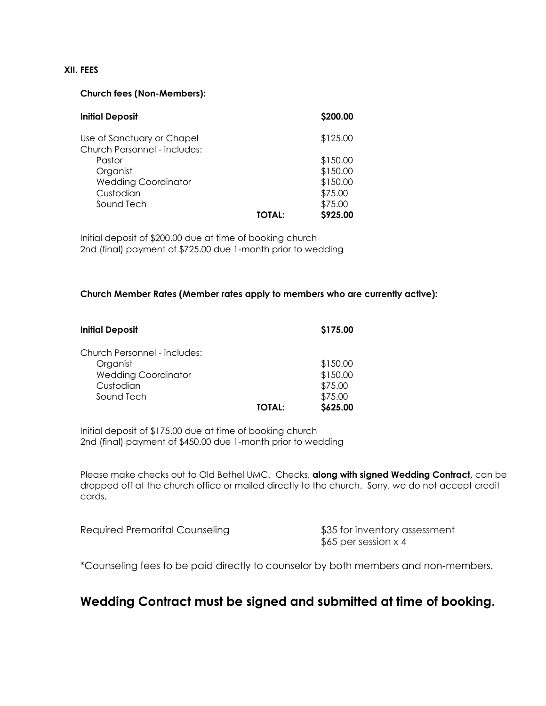#### **XII. FEES**

#### **Church fees (Non-Members):**

| <b>Initial Deposit</b>                                     |        | \$200.00 |
|------------------------------------------------------------|--------|----------|
| Use of Sanctuary or Chapel<br>Church Personnel - includes: |        | \$125.00 |
| Pastor                                                     |        | \$150.00 |
| Organist                                                   |        | \$150.00 |
| <b>Wedding Coordinator</b>                                 |        | \$150.00 |
| Custodian                                                  |        | \$75.00  |
| Sound Tech                                                 |        | \$75.00  |
|                                                            | TOTAL: | \$925.00 |

Initial deposit of \$200.00 due at time of booking church 2nd (final) payment of \$725.00 due 1-month prior to wedding

#### **Church Member Rates (Member rates apply to members who are currently active):**

| <b>Initial Deposit</b>       |        | \$175.00 |
|------------------------------|--------|----------|
| Church Personnel - includes: |        |          |
| Organist                     |        | \$150.00 |
| <b>Wedding Coordinator</b>   |        | \$150.00 |
| Custodian                    |        | \$75.00  |
| Sound Tech                   |        | \$75.00  |
|                              | TOTAL: | \$625.00 |

Initial deposit of \$175.00 due at time of booking church 2nd (final) payment of \$450.00 due 1-month prior to wedding

Please make checks out to Old Bethel UMC. Checks, **along with signed Wedding Contract,** can be dropped off at the church office or mailed directly to the church. Sorry, we do not accept credit cards.

Required Premarital Counseling **\$35 for inventory assessment** 

\$65 per session x 4

\*Counseling fees to be paid directly to counselor by both members and non-members.

### **Wedding Contract must be signed and submitted at time of booking.**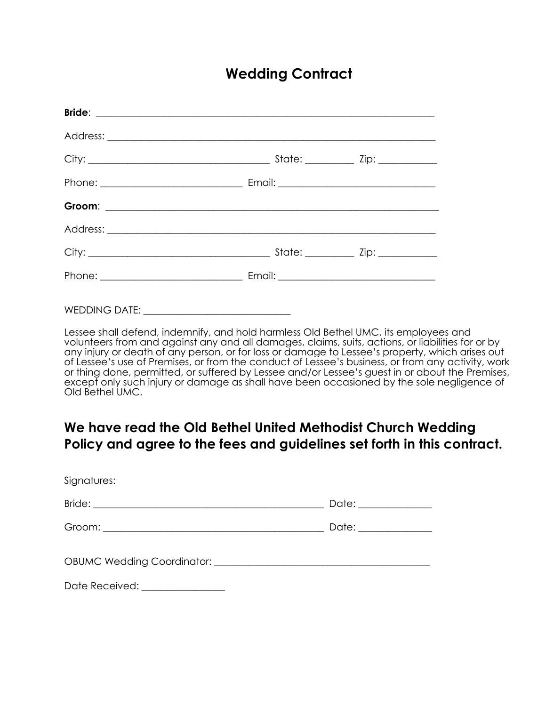# **Wedding Contract**

Lessee shall defend, indemnify, and hold harmless Old Bethel UMC, its employees and volunteers from and against any and all damages, claims, suits, actions, or liabilities for or by any injury or death of any person, or for loss or damage to Lessee's property, which arises out of Lessee's use of Premises, or from the conduct of Lessee's business, or from any activity, work or thing done, permitted, or suffered by Lessee and/or Lessee's guest in or about the Premises, except only such injury or damage as shall have been occasioned by the sole negligence of Old Bethel UMC.

# **We have read the Old Bethel United Methodist Church Wedding Policy and agree to the fees and guidelines set forth in this contract.**

| Signatures:                           |                      |
|---------------------------------------|----------------------|
|                                       | Date: ______________ |
|                                       | Date: ______________ |
|                                       |                      |
| Date Received: <u>_______________</u> |                      |